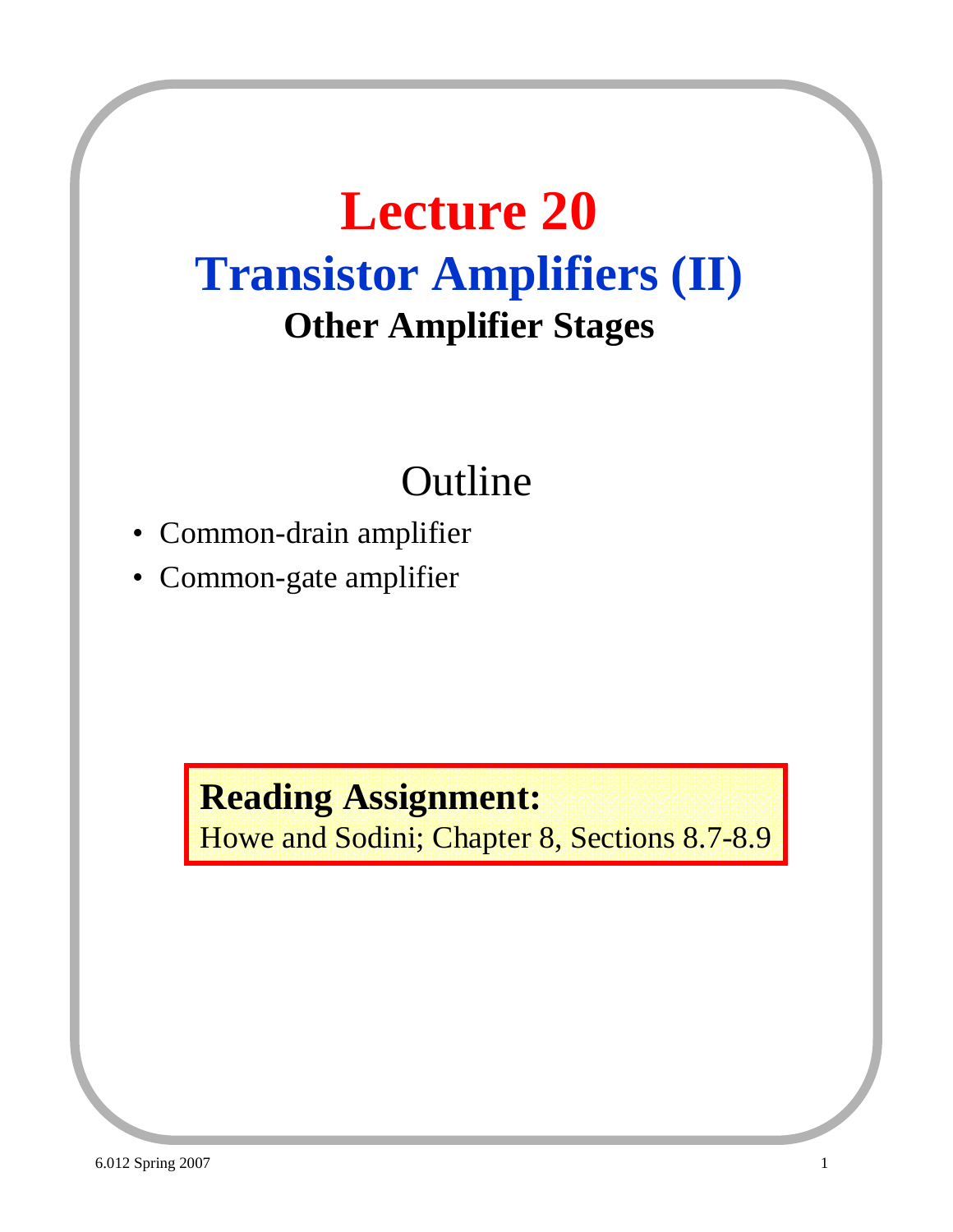# **Lecture 20 Transistor Amplifiers (II) Other Amplifier Stages**

# Outline

- Common-drain amplifier
- Common-gate amplifier

**Reading Assignment:** Howe and Sodini; Chapter 8, Sections 8.7-8.9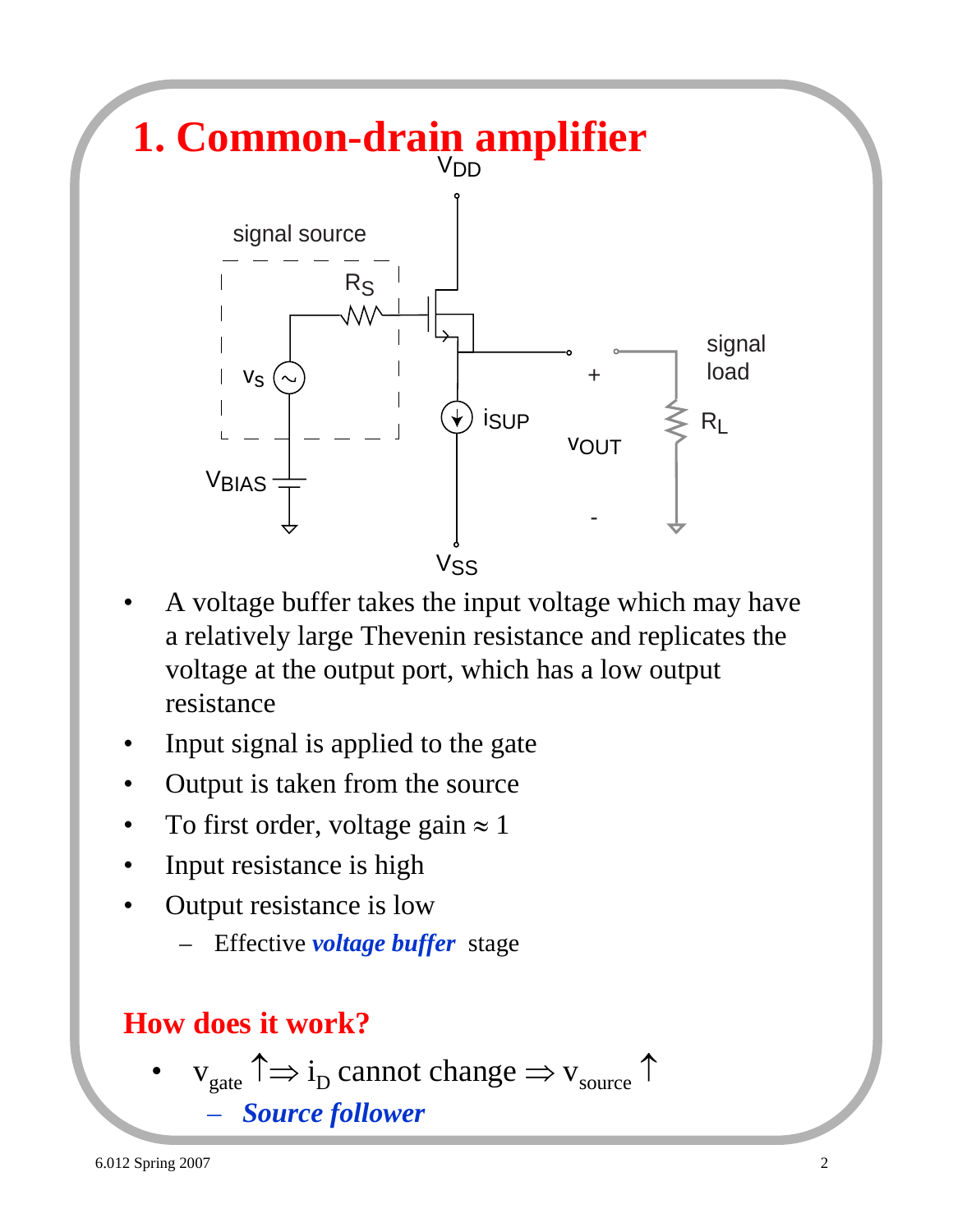

- A voltage buffer takes the input voltage which may have a relatively large Thevenin resistance and replicates the voltage at the output port, which has a low output resistance
- Input signal is applied to the gate
- Output is taken from the source
- To first order, voltage gain  $\approx 1$
- Input resistance is high
- Output resistance is low
	- Effective *voltage buffer* stage

### **How does it work?**

 $v_{\text{gate}} \uparrow \Rightarrow i_{\text{D}}$  cannot change  $\Rightarrow v_{\text{source}} \uparrow$ – *Source follower*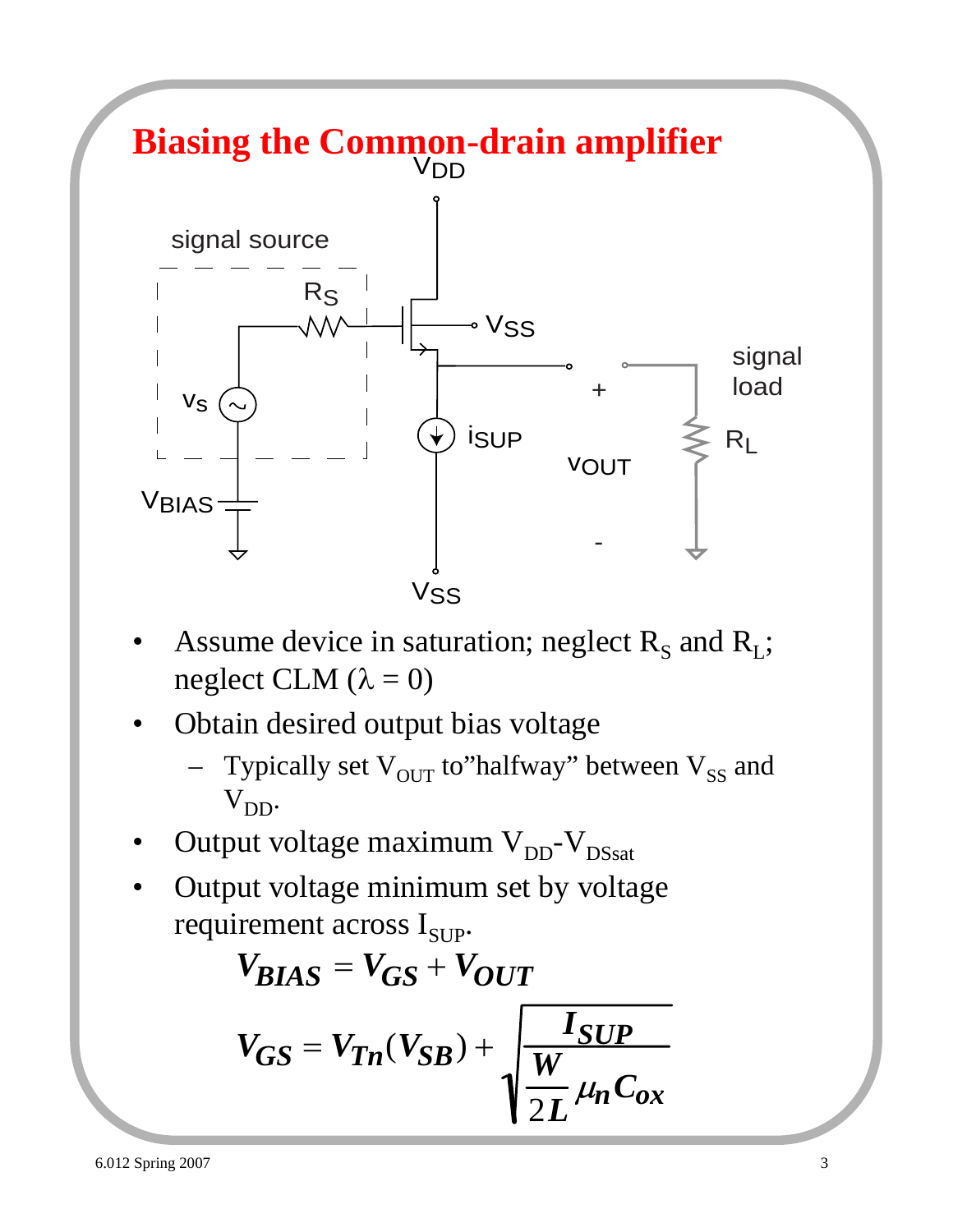#### **Biasing the Common-drain amplifier**  $V_S$ VBIAS **VOUT** V<sub>DD</sub> V<sub>SS</sub> ∘ Vss iSUP RS RL signal source + signal load

- Assume device in saturation; neglect  $R_s$  and  $R_l$ ; neglect CLM  $(\lambda = 0)$
- Obtain desired output bias voltage
	- Typically set  $V_{OUT}$  to"halfway" between  $V_{SS}$  and  $V_{DD}$ .
- Output voltage maximum  $V_{DD}$ - $V_{DSsat}$
- Output voltage minimum set by voltage requirement across  $I_{\text{SUP}}$ .

$$
V_{BIAS} = V_{GS} + V_{OUT}
$$

$$
V_{GS} = V_{Tn}(V_{SB}) + \sqrt{\frac{I_{SUP}}{2L} \mu_n C_{ox}}
$$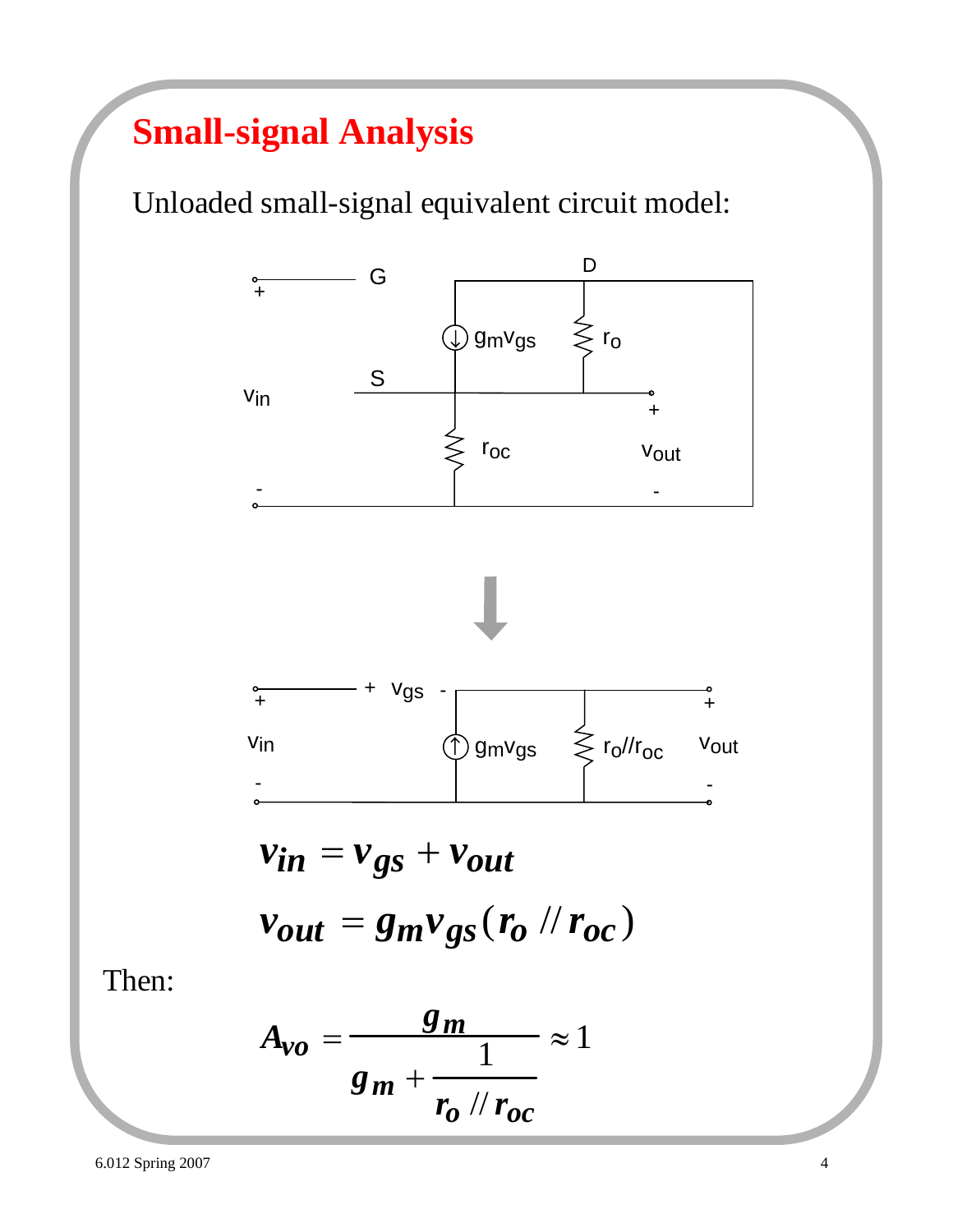## **Small-signal Analysis**

Unloaded small-signal equivalent circuit model:



Then:

$$
A_{\nu o} = \frac{g_m}{g_m + \frac{1}{r_o / r_{oc}}} \approx 1
$$

6.012 Spring 2007 4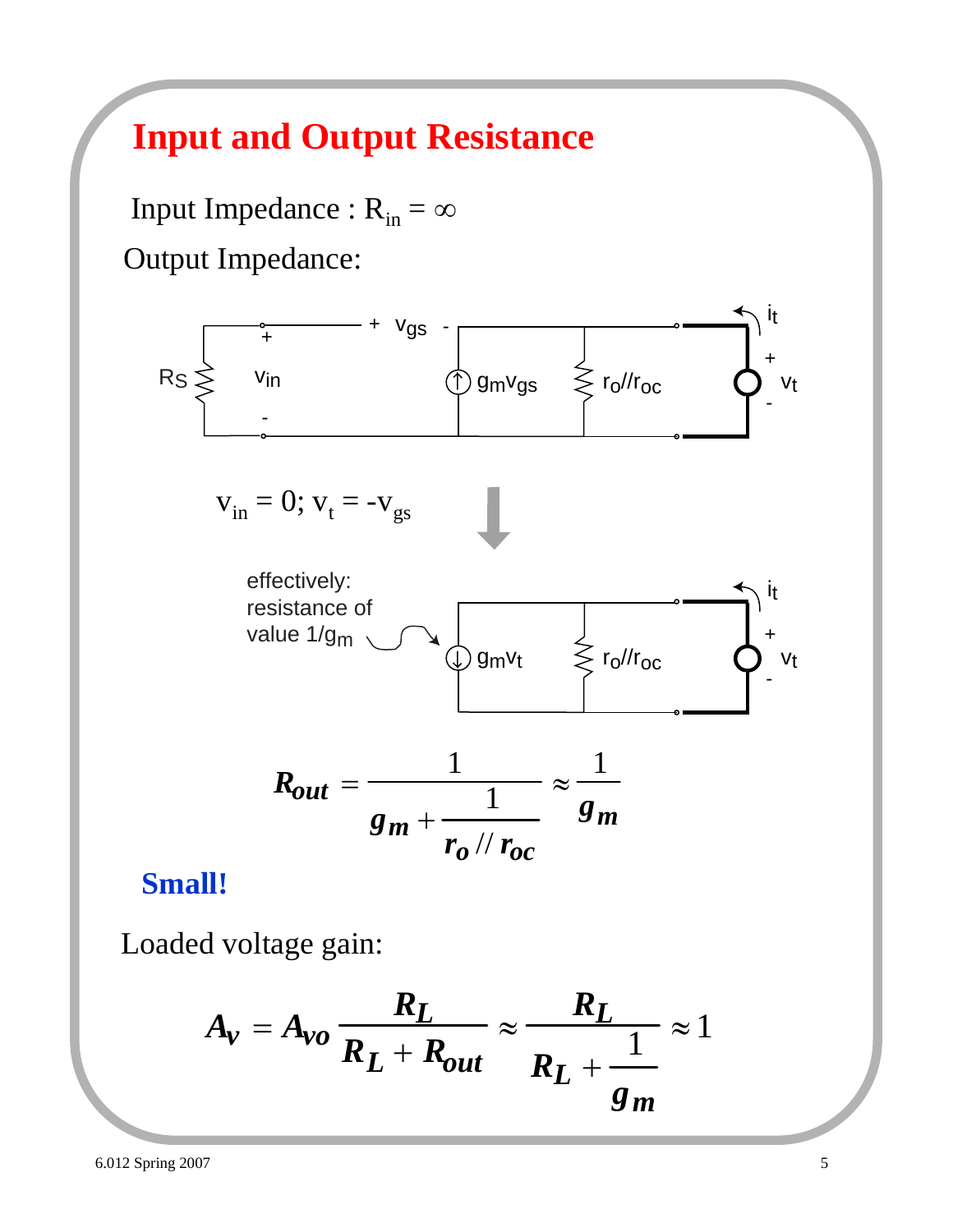## **Input and Output Resistance**

Input Impedance :  $R_{in} = \infty$ Output Impedance:



#### **Small!**

Loaded voltage gain:

$$
A_v = A_{vo} \frac{R_L}{R_L + R_{out}} \approx \frac{R_L}{R_L + \frac{1}{g_m}} \approx 1
$$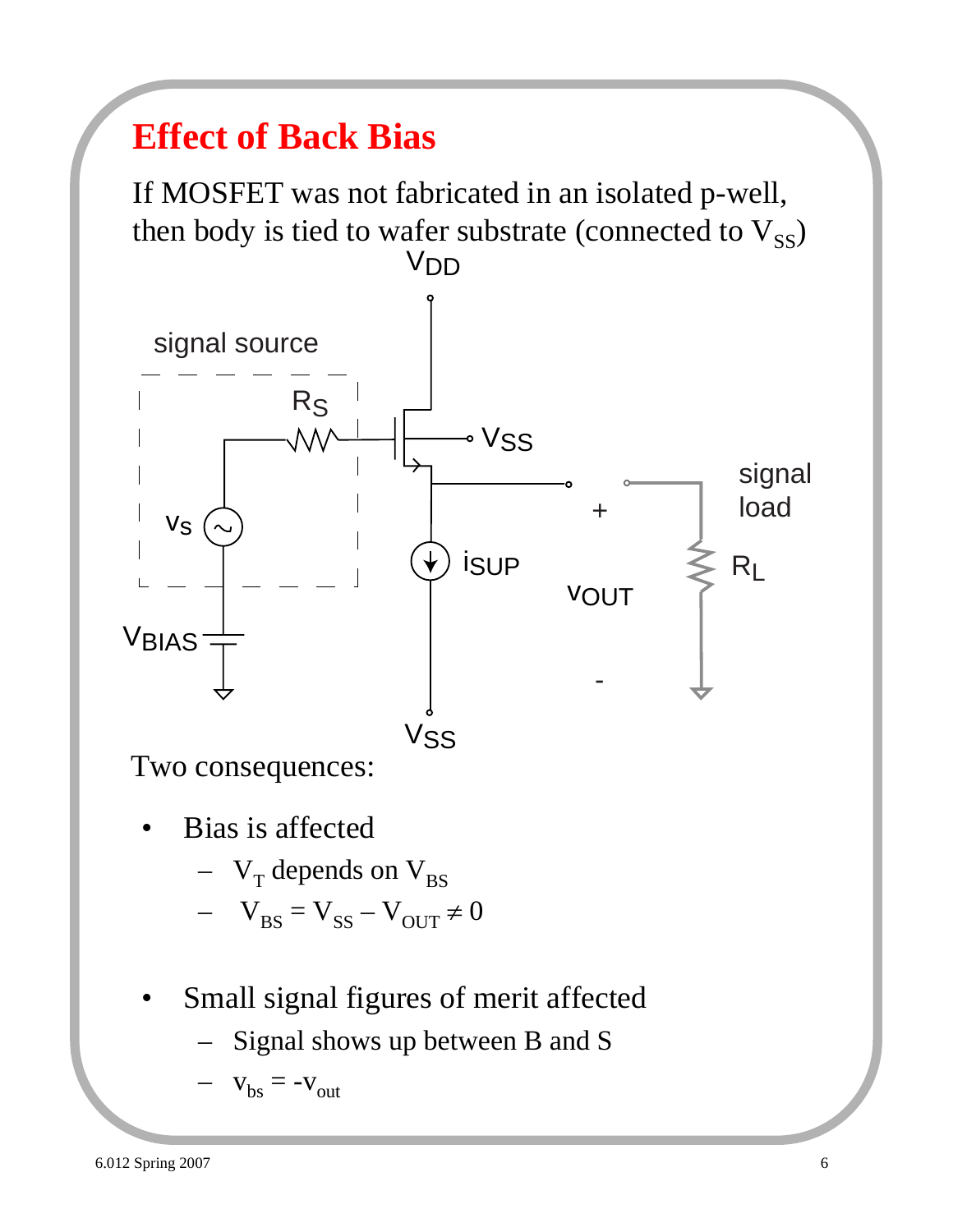# **Effect of Back Bias**

If MOSFET was not fabricated in an isolated p-well, then body is tied to wafer substrate (connected to  $V_{SS}$ ) V<sub>DD</sub>



Two consequences:

- Bias is affected
	- $V_T$  depends on  $V_{BS}$
	- $V_{BS} = V_{SS} V_{OUT} \neq 0$
- Small signal figures of merit affected
	- Signal shows up between B and S

$$
- \mathbf{v}_{\text{bs}} = -\mathbf{v}_{\text{out}}
$$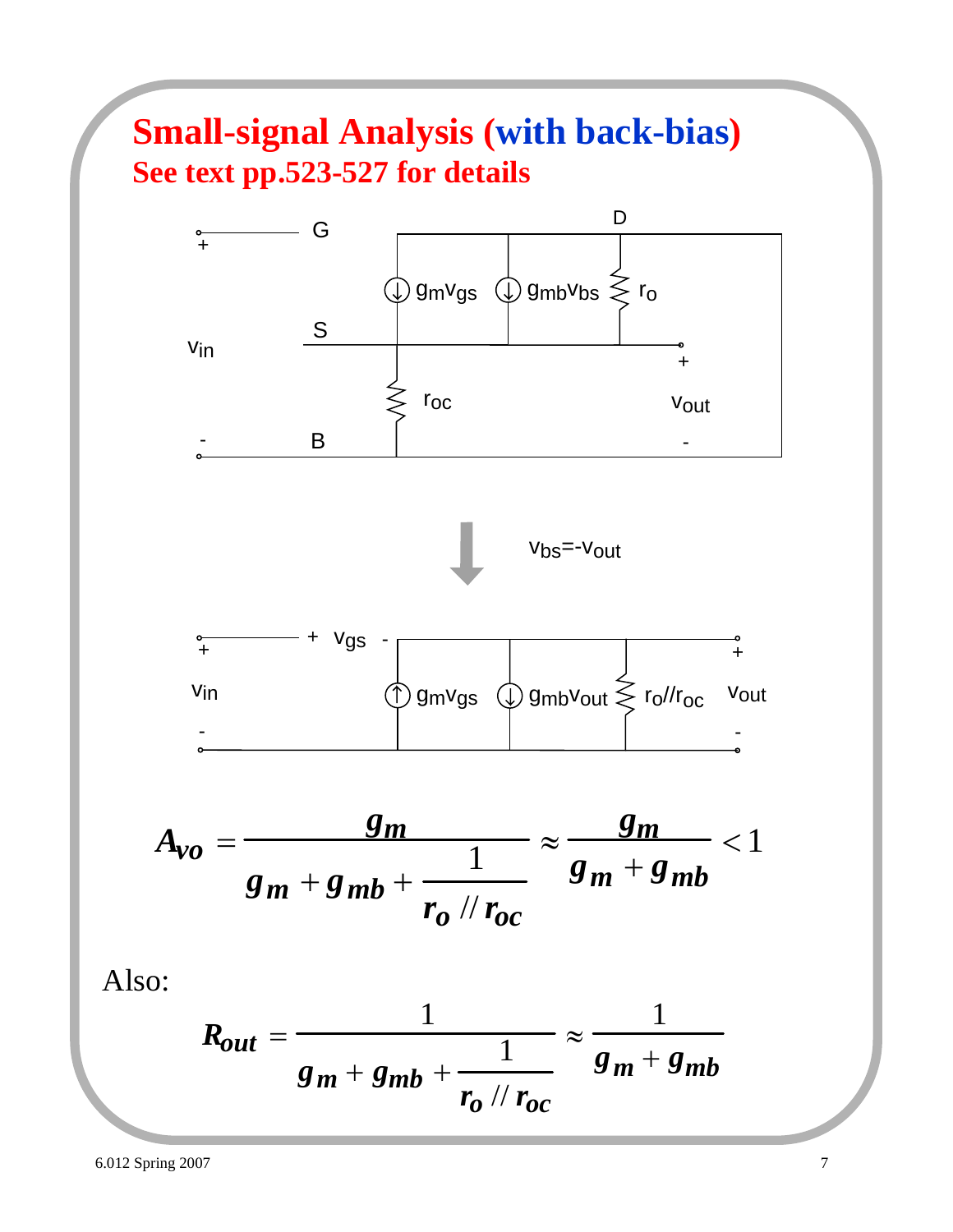### **Small-signal Analysis (with back-bias) See text pp.523-527 for details**



$$
R_{out} = \frac{1}{g_m + g_{mb} + \frac{1}{r_o \text{ // } r_{oc}}} \approx \frac{1}{g_m + g_{mb}}
$$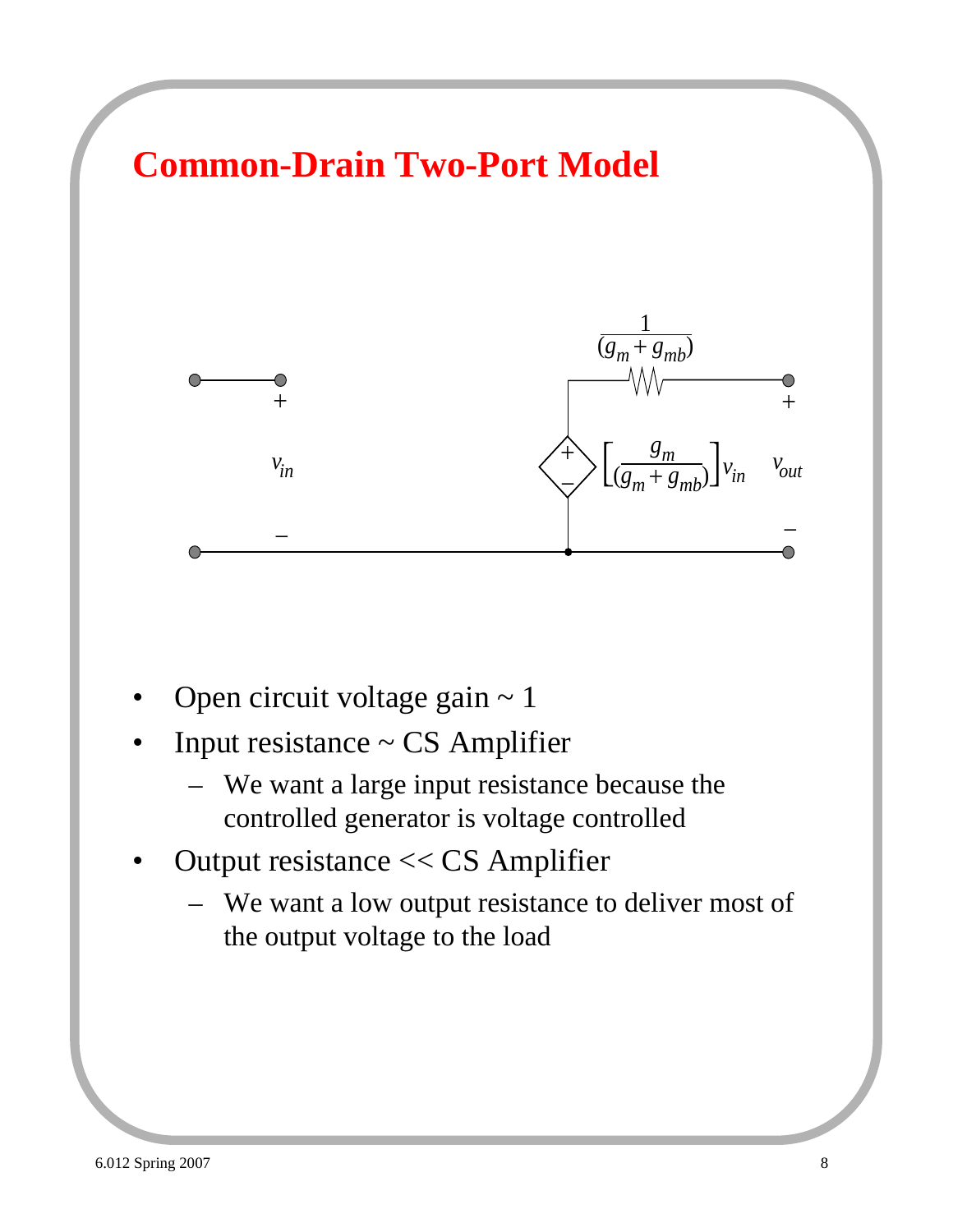

- Open circuit voltage gain  $\sim$  1
- Input resistance  $\sim$  CS Amplifier
	- We want a large input resistance because the controlled generator is voltage controlled
- Output resistance << CS Amplifier
	- We want a low output resistance to deliver most of the output voltage to the load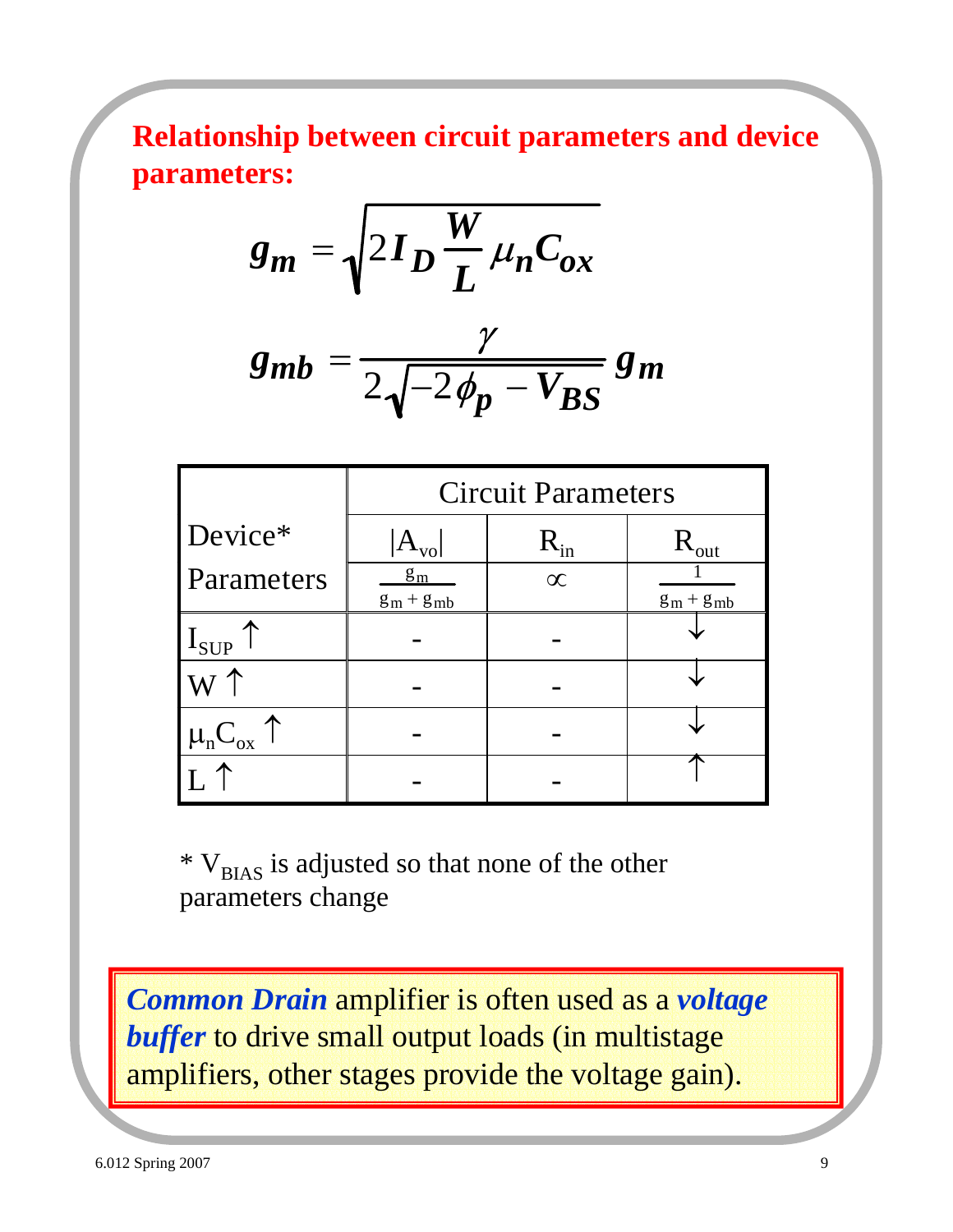**Relationship between circuit parameters and device parameters:**

$$
g_m = \sqrt{2I_D \frac{W}{L} \mu_n C_{ox}}
$$

$$
g_{mb} = \frac{\gamma}{2\sqrt{-2\phi_p - V_{BS}}} g_m
$$

|                                               | <b>Circuit Parameters</b> |              |                |
|-----------------------------------------------|---------------------------|--------------|----------------|
| Device*                                       | $ {\rm A}_{\rm vo} $      | $\rm R_{in}$ | out            |
| Parameters                                    | $g_m$<br>$g_m + g_{mb}$   | $\infty$     | $g_m + g_{mb}$ |
| $I_{\text{SUP}}$                              |                           |              |                |
|                                               |                           |              |                |
| $\mu$ <sub>n</sub> C <sub>ox</sub> $\uparrow$ |                           |              |                |
|                                               |                           |              |                |

 $*$  V<sub>BIAS</sub> is adjusted so that none of the other parameters change

*Common Drain* amplifier is often used as a *voltage*  **buffer** to drive small output loads (in multistage amplifiers, other stages provide the voltage gain).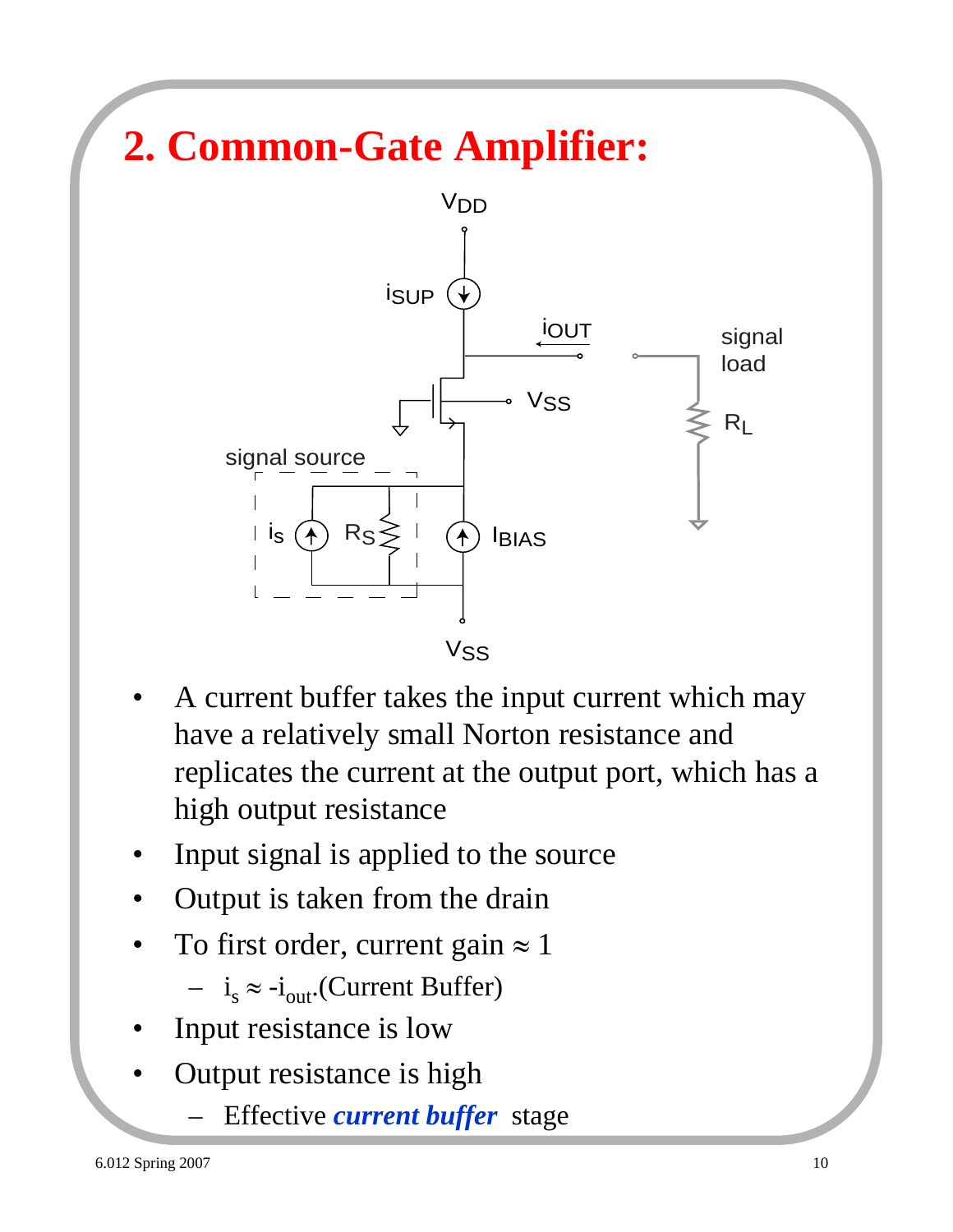

- A current buffer takes the input current which may have a relatively small Norton resistance and replicates the current at the output port, which has a high output resistance
- Input signal is applied to the source
- Output is taken from the drain
- To first order, current gain  $\approx 1$

 $- i_s \approx -i_{out}$ . (Current Buffer)

- Input resistance is low
- Output resistance is high
	- Effective *current buffer* stage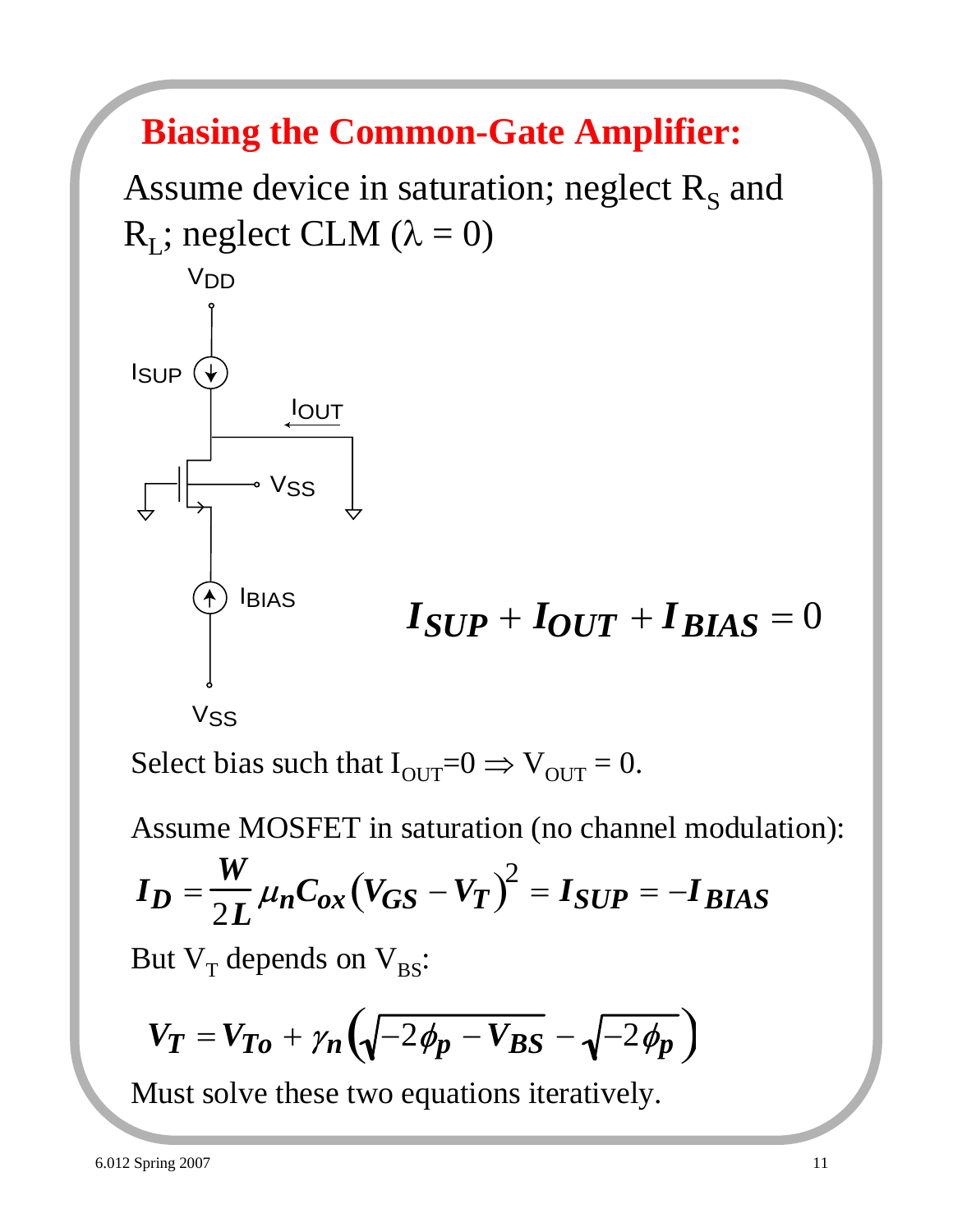# **Biasing the Common-Gate Amplifier:**

Assume device in saturation; neglect  $R<sub>S</sub>$  and  $R_L$ ; neglect CLM ( $\lambda = 0$ )



Select bias such that  $I_{\text{OUT}}=0 \Rightarrow V_{\text{OUT}}=0$ .

Assume MOSFET in saturation (no channel modulation):

$$
I_D = \frac{W}{2L} \mu_n C_{ox} (V_{GS} - V_T)^2 = I_{SUP} = -I_{BIAS}
$$

But  $V_T$  depends on  $V_{BS}$ :

$$
V_T = V_{To} + \gamma_n \left( \sqrt{-2\phi_p - V_{BS}} - \sqrt{-2\phi_p} \right)
$$

Must solve these two equations iteratively.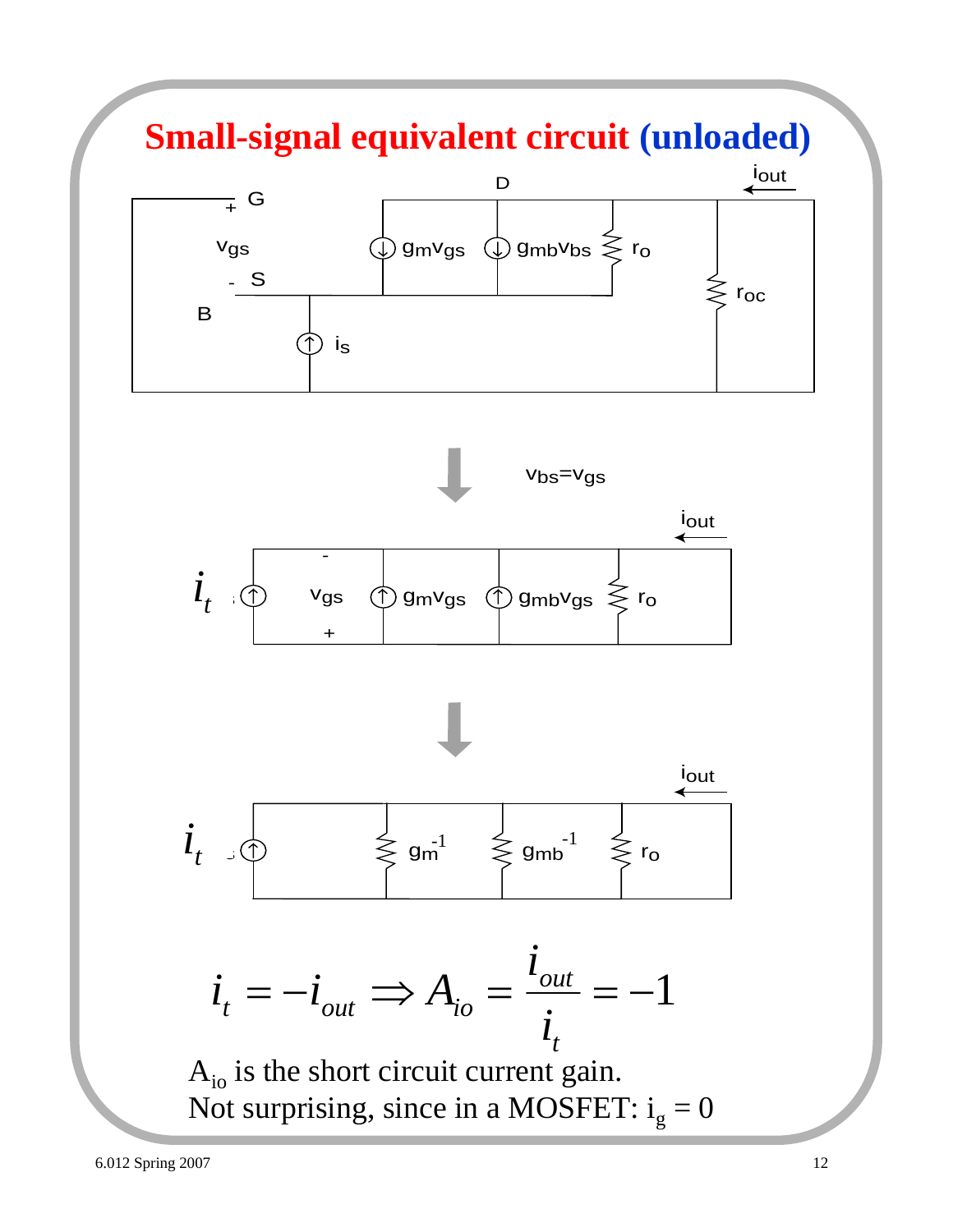## **Small-signal equivalent circuit (unloaded)**







$$
i_{t} = -i_{out} \Longrightarrow A_{io} = \frac{i_{out}}{i_{t}} = -1
$$

 $A_{i0}$  is the short circuit current gain. Not surprising, since in a MOSFET:  $i_g = 0$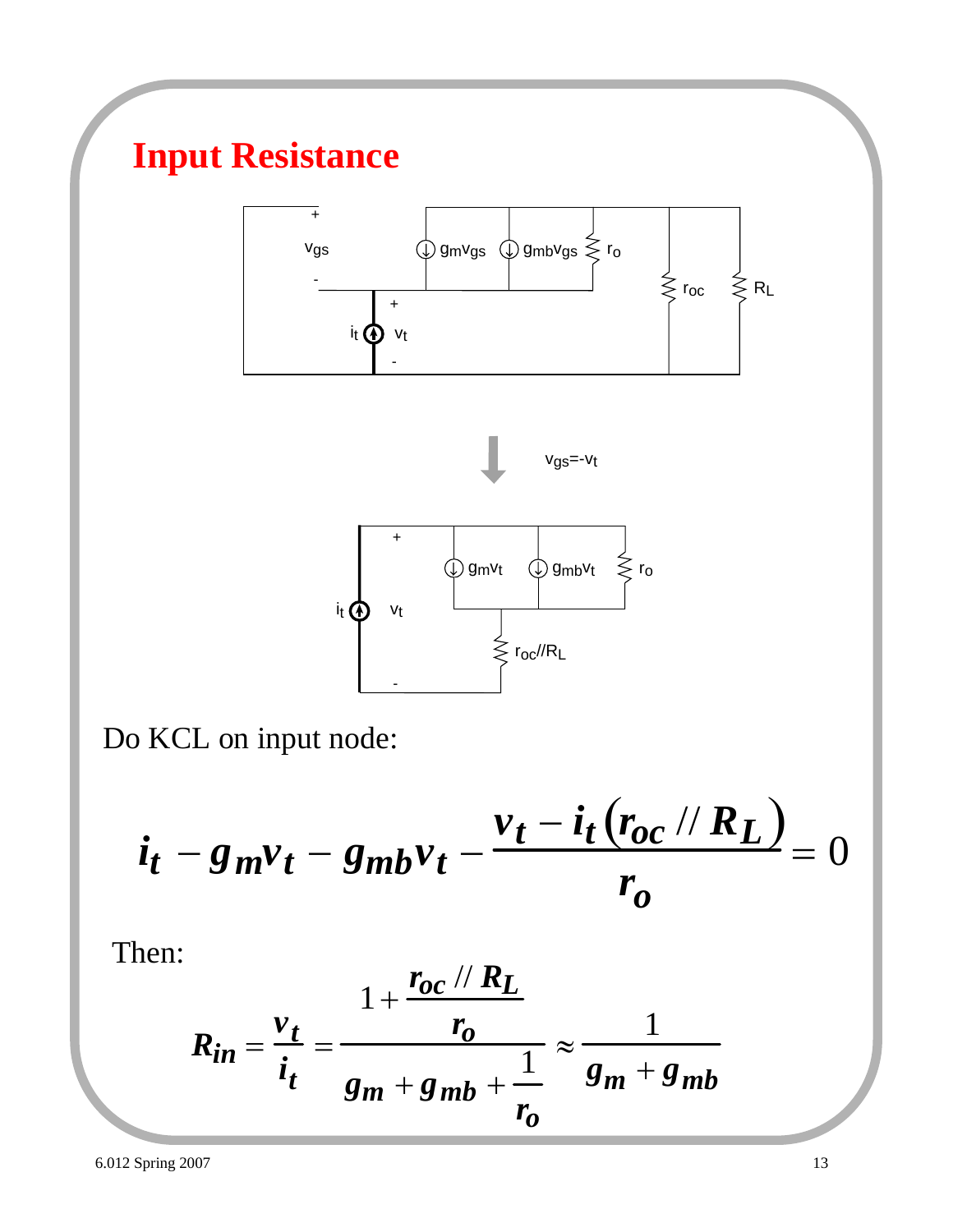# **Input Resistance**







Do KCL on input node:

$$
i_t - g_m v_t - g_{mb} v_t - \frac{v_t - i_t (r_{oc} / R_L)}{r_o} = 0
$$

Then:

$$
R_{in} = \frac{v_t}{i_t} = \frac{1 + \frac{r_{oc} \text{ // } R_L}{r_o}}{g_m + g_{mb} + \frac{1}{r_o}} \approx \frac{1}{g_m + g_{mb}}
$$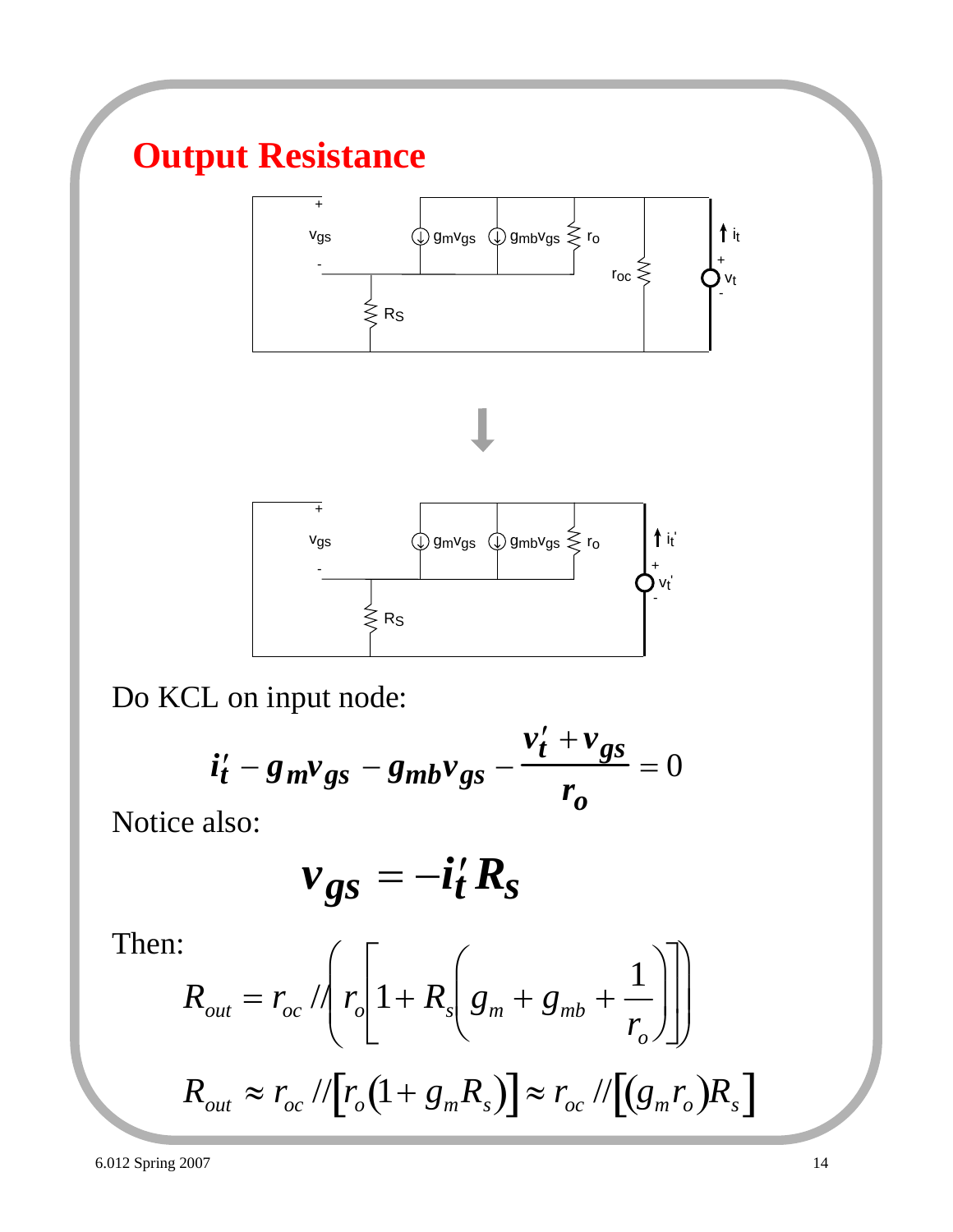# **Output Resistance**





Do KCL on input node:

$$
\dot{u}'_t - g_m v_{gs} - g_{mb} v_{gs} - \frac{v'_t + v_{gs}}{r_o} = 0
$$

Notice also:

$$
v_{gs} = -i_t' R_s
$$

Then:

$$
R_{out} = r_{oc} / \left( r_o \left[ 1 + R_s \left( g_m + g_{mb} + \frac{1}{r_o} \right) \right] \right)
$$
  

$$
R_{out} \approx r_{oc} / / \left[ r_o \left( 1 + g_m R_s \right) \right] \approx r_{oc} / / \left[ \left( g_m r_o \right) R_s \right]
$$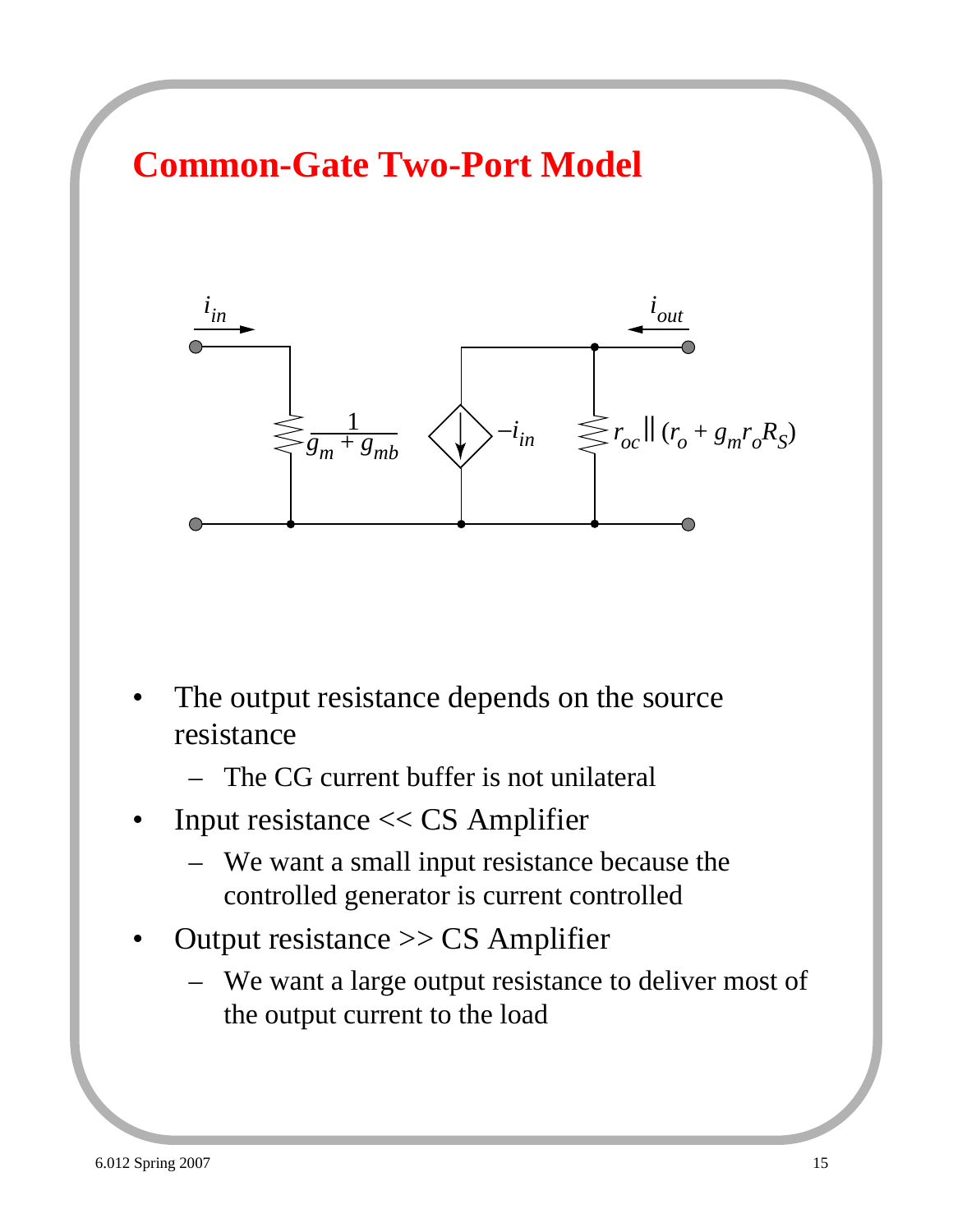



- The output resistance depends on the source resistance
	- The CG current buffer is not unilateral
- Input resistance  $<<$  CS Amplifier
	- We want a small input resistance because the controlled generator is current controlled
- Output resistance  $\gg$  CS Amplifier
	- We want a large output resistance to deliver most of the output current to the load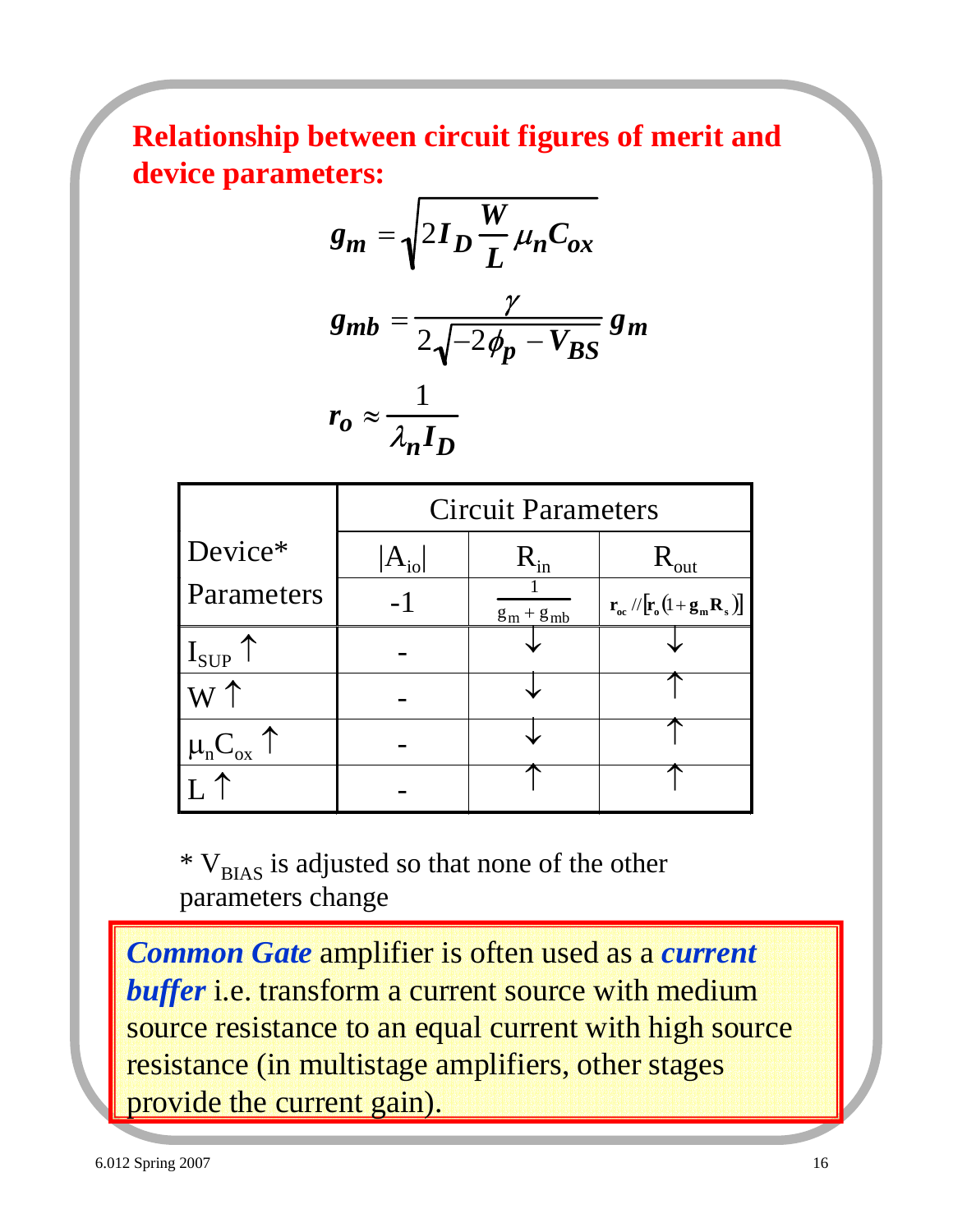**Relationship between circuit figures of merit and device parameters:**

$$
g_m = \sqrt{2I_D \frac{W}{L} \mu_n C_{ox}}
$$
  
\n
$$
g_{mb} = \frac{\gamma}{2\sqrt{-2\phi_p - V_{BS}}} g_m
$$
  
\n
$$
r_o \approx \frac{1}{\lambda_n I_D}
$$

|                                               | <b>Circuit Parameters</b> |                |                                                                                                    |  |
|-----------------------------------------------|---------------------------|----------------|----------------------------------------------------------------------------------------------------|--|
| Device*                                       | $A_{i0}$                  | $R_{in}$       | $R_{\text{out}}$                                                                                   |  |
| Parameters                                    | - 1                       | $g_m + g_{mb}$ | $\mathbf{r}_{\rm oc}$ // $\left[\mathbf{r}_{\rm o}(l+\mathbf{g}_{\rm m}\mathbf{R}_{\rm s})\right]$ |  |
| $I_{\text{SUP}}$                              |                           |                |                                                                                                    |  |
|                                               |                           |                |                                                                                                    |  |
| $\mu$ <sub>n</sub> C <sub>ox</sub> $\uparrow$ |                           |                |                                                                                                    |  |
|                                               |                           |                |                                                                                                    |  |

 $* V_{BIAS}$  is adjusted so that none of the other parameters change

*Common Gate* amplifier is often used as a *current*  buffer i.e. transform a current source with medium source resistance to an equal current with high source resistance (in multistage amplifiers, other stages provide the current gain).